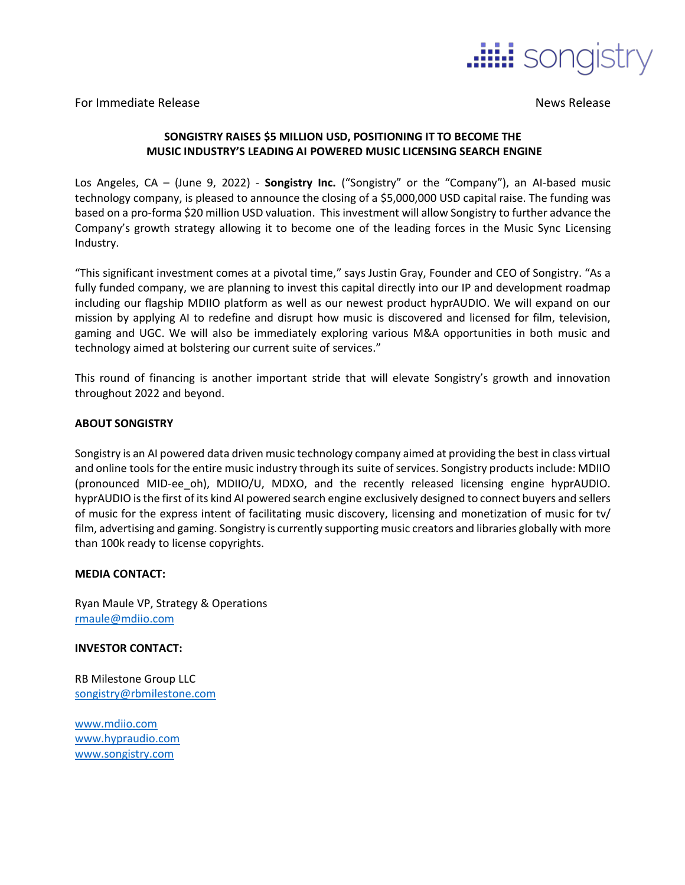

For Immediate Release News Release News Release News Release

## **SONGISTRY RAISES \$5 MILLION USD, POSITIONING IT TO BECOME THE MUSIC INDUSTRY'S LEADING AI POWERED MUSIC LICENSING SEARCH ENGINE**

Los Angeles, CA – (June 9, 2022) - **Songistry Inc.** ("Songistry" or the "Company"), an AI-based music technology company, is pleased to announce the closing of a \$5,000,000 USD capital raise. The funding was based on a pro-forma \$20 million USD valuation. This investment will allow Songistry to further advance the Company's growth strategy allowing it to become one of the leading forces in the Music Sync Licensing Industry.

"This significant investment comes at a pivotal time," says Justin Gray, Founder and CEO of Songistry. "As a fully funded company, we are planning to invest this capital directly into our IP and development roadmap including our flagship MDIIO platform as well as our newest product hyprAUDIO. We will expand on our mission by applying AI to redefine and disrupt how music is discovered and licensed for film, television, gaming and UGC. We will also be immediately exploring various M&A opportunities in both music and technology aimed at bolstering our current suite of services."

This round of financing is another important stride that will elevate Songistry's growth and innovation throughout 2022 and beyond.

## **ABOUT SONGISTRY**

Songistry is an AI powered data driven music technology company aimed at providing the best in class virtual and online tools for the entire music industry through its suite of services. Songistry products include: MDIIO (pronounced MID-ee\_oh), MDIIO/U, MDXO, and the recently released licensing engine hyprAUDIO. hyprAUDIO is the first of its kind AI powered search engine exclusively designed to connect buyers and sellers of music for the express intent of facilitating music discovery, licensing and monetization of music for tv/ film, advertising and gaming. Songistry is currently supporting music creators and libraries globally with more than 100k ready to license copyrights.

## **MEDIA CONTACT:**

Ryan Maule VP, Strategy & Operations [rmaule@mdiio.com](mailto:rmaule@mdiio.com)

**INVESTOR CONTACT:**

RB Milestone Group LLC [songistry@rbmilestone.com](mailto:songistry@rbmilestone.com)

[www.mdiio.com](http://www.mdiio.com/) [www.hypraudio.com](http://www.hypraudio.com/) [www.songistry.com](http://www.songistry.com/)